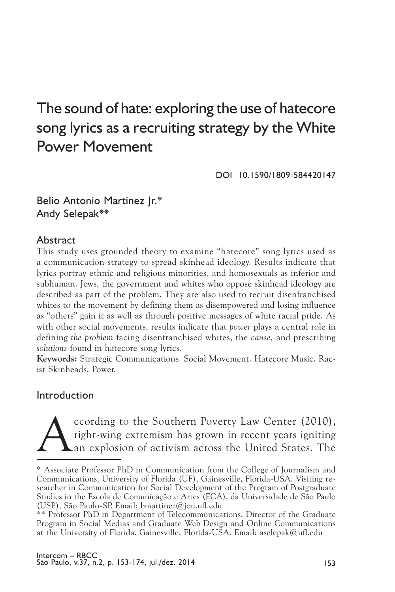# The sound of hate: exploring the use of hatecore song lyrics as a recruiting strategy by the White Power Movement

DOI 10.1590/1809-584420147

Belio Antonio Martinez Jr.\* Andy Selepak\*\*

## Abstract

This study uses grounded theory to examine "hatecore" song lyrics used as a communication strategy to spread skinhead ideology. Results indicate that lyrics portray ethnic and religious minorities, and homosexuals as inferior and subhuman. Jews, the government and whites who oppose skinhead ideology are described as part of the problem. They are also used to recruit disenfranchised whites to the movement by defining them as disempowered and losing influence as "others" gain it as well as through positive messages of white racial pride. As with other social movements, results indicate that *power* plays a central role in defining *the problem* facing disenfranchised whites, the *cause,* and prescribing *solutions* found in hatecore song lyrics.

**Keywords:** Strategic Communications. Social Movement. Hatecore Music. Racist Skinheads. Power.

## Introduction

Coording to the Southern Poverty Law Center (2010), right-wing extremism has grown in recent years igniting an explosion of activism across the United States. The right-wing extremism has grown in recent years igniting an explosion of activism across the United States. The

<sup>\*</sup> Associate Professor PhD in Communication from the College of Journalism and Communications, University of Florida (UF), Gainesville, Florida-USA. Visiting researcher in Communication for Social Development of the Program of Postgraduate Studies in the Escola de Comunicação e Artes (ECA), da Universidade de São Paulo (USP), São Paulo-SP. Email: bmartinez@jou.ufl.edu

<sup>\*\*</sup> Professor PhD in Department of Telecommunications, Director of the Graduate Program in Social Medias and Graduate Web Design and Online Communications at the University of Florida. Gainesville, Florida-USA. Email: aselepak@ufl.edu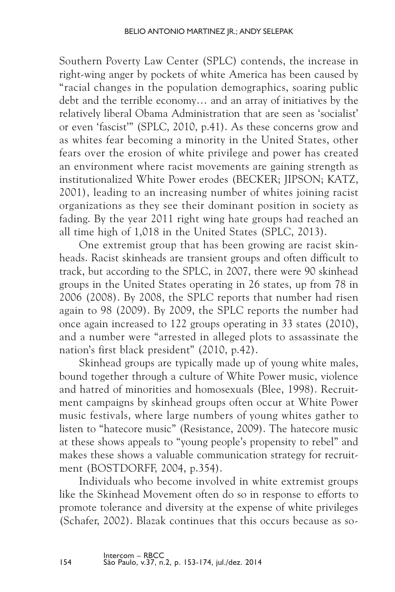Southern Poverty Law Center (SPLC) contends, the increase in right-wing anger by pockets of white America has been caused by "racial changes in the population demographics, soaring public debt and the terrible economy… and an array of initiatives by the relatively liberal Obama Administration that are seen as 'socialist' or even 'fascist'" (SPLC, 2010, p.41). As these concerns grow and as whites fear becoming a minority in the United States, other fears over the erosion of white privilege and power has created an environment where racist movements are gaining strength as institutionalized White Power erodes (BECKER; JIPSON; KATZ, 2001), leading to an increasing number of whites joining racist organizations as they see their dominant position in society as fading. By the year 2011 right wing hate groups had reached an all time high of 1,018 in the United States (SPLC, 2013).

One extremist group that has been growing are racist skinheads. Racist skinheads are transient groups and often difficult to track, but according to the SPLC, in 2007, there were 90 skinhead groups in the United States operating in 26 states, up from 78 in 2006 (2008). By 2008, the SPLC reports that number had risen again to 98 (2009). By 2009, the SPLC reports the number had once again increased to 122 groups operating in 33 states (2010), and a number were "arrested in alleged plots to assassinate the nation's first black president" (2010, p.42).

Skinhead groups are typically made up of young white males, bound together through a culture of White Power music, violence and hatred of minorities and homosexuals (Blee, 1998). Recruitment campaigns by skinhead groups often occur at White Power music festivals, where large numbers of young whites gather to listen to "hatecore music" (Resistance, 2009). The hatecore music at these shows appeals to "young people's propensity to rebel" and makes these shows a valuable communication strategy for recruitment (BOSTDORFF, 2004, p.354).

Individuals who become involved in white extremist groups like the Skinhead Movement often do so in response to efforts to promote tolerance and diversity at the expense of white privileges (Schafer, 2002). Blazak continues that this occurs because as so-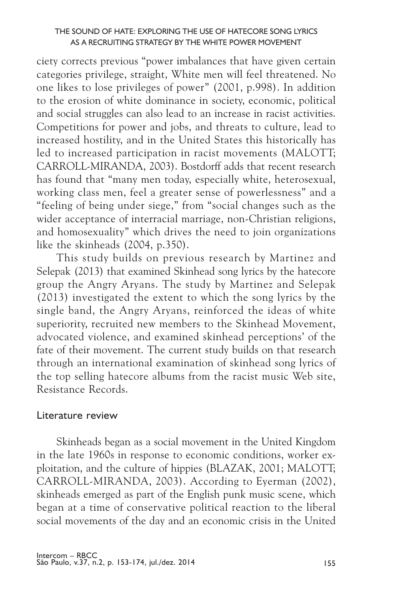#### The sound of hate: exploring the use of hatecore song lyrics as a recruiting strategy by the White Power Movement

ciety corrects previous "power imbalances that have given certain categories privilege, straight, White men will feel threatened. No one likes to lose privileges of power" (2001, p.998). In addition to the erosion of white dominance in society, economic, political and social struggles can also lead to an increase in racist activities. Competitions for power and jobs, and threats to culture, lead to increased hostility, and in the United States this historically has led to increased participation in racist movements (MALOTT; CARROLL-MIRANDA, 2003). Bostdorff adds that recent research has found that "many men today, especially white, heterosexual, working class men, feel a greater sense of powerlessness" and a "feeling of being under siege," from "social changes such as the wider acceptance of interracial marriage, non-Christian religions, and homosexuality" which drives the need to join organizations like the skinheads (2004, p.350).

This study builds on previous research by Martinez and Selepak (2013) that examined Skinhead song lyrics by the hatecore group the Angry Aryans. The study by Martinez and Selepak (2013) investigated the extent to which the song lyrics by the single band, the Angry Aryans, reinforced the ideas of white superiority, recruited new members to the Skinhead Movement, advocated violence, and examined skinhead perceptions' of the fate of their movement. The current study builds on that research through an international examination of skinhead song lyrics of the top selling hatecore albums from the racist music Web site, Resistance Records.

## Literature review

Skinheads began as a social movement in the United Kingdom in the late 1960s in response to economic conditions, worker exploitation, and the culture of hippies (BLAZAK, 2001; MALOTT; CARROLL-MIRANDA, 2003). According to Eyerman (2002), skinheads emerged as part of the English punk music scene, which began at a time of conservative political reaction to the liberal social movements of the day and an economic crisis in the United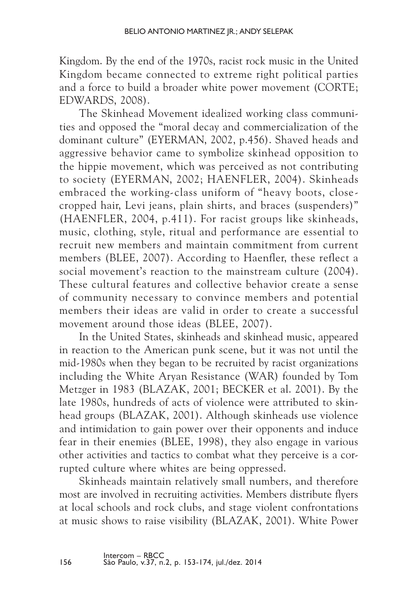Kingdom. By the end of the 1970s, racist rock music in the United Kingdom became connected to extreme right political parties and a force to build a broader white power movement (CORTE; Edwards, 2008).

The Skinhead Movement idealized working class communities and opposed the "moral decay and commercialization of the dominant culture" (EYERMAN, 2002, p.456). Shaved heads and aggressive behavior came to symbolize skinhead opposition to the hippie movement, which was perceived as not contributing to society (EYERMAN, 2002; HAENFLER, 2004). Skinheads embraced the working-class uniform of "heavy boots, closecropped hair, Levi jeans, plain shirts, and braces (suspenders)" (HAENFLER, 2004, p.411). For racist groups like skinheads, music, clothing, style, ritual and performance are essential to recruit new members and maintain commitment from current members (BLEE, 2007). According to Haenfler, these reflect a social movement's reaction to the mainstream culture (2004). These cultural features and collective behavior create a sense of community necessary to convince members and potential members their ideas are valid in order to create a successful movement around those ideas (BLEE, 2007).

In the United States, skinheads and skinhead music, appeared in reaction to the American punk scene, but it was not until the mid-1980s when they began to be recruited by racist organizations including the White Aryan Resistance (WAR) founded by Tom Metzger in 1983 (Blazak, 2001; Becker et al. 2001). By the late 1980s, hundreds of acts of violence were attributed to skinhead groups (BLAZAK, 2001). Although skinheads use violence and intimidation to gain power over their opponents and induce fear in their enemies (BLEE, 1998), they also engage in various other activities and tactics to combat what they perceive is a corrupted culture where whites are being oppressed.

Skinheads maintain relatively small numbers, and therefore most are involved in recruiting activities. Members distribute flyers at local schools and rock clubs, and stage violent confrontations at music shows to raise visibility (BLAZAK, 2001). White Power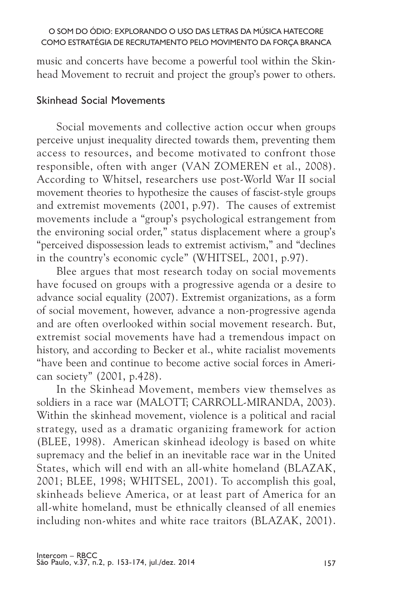music and concerts have become a powerful tool within the Skinhead Movement to recruit and project the group's power to others.

# Skinhead Social Movements

Social movements and collective action occur when groups perceive unjust inequality directed towards them, preventing them access to resources, and become motivated to confront those responsible, often with anger (VAN ZOMEREN et al., 2008). According to Whitsel, researchers use post-World War II social movement theories to hypothesize the causes of fascist-style groups and extremist movements (2001, p.97). The causes of extremist movements include a "group's psychological estrangement from the environing social order," status displacement where a group's "perceived dispossession leads to extremist activism," and "declines in the country's economic cycle" (WHITSEL, 2001, p.97).

Blee argues that most research today on social movements have focused on groups with a progressive agenda or a desire to advance social equality (2007). Extremist organizations, as a form of social movement, however, advance a non-progressive agenda and are often overlooked within social movement research. But, extremist social movements have had a tremendous impact on history, and according to Becker et al., white racialist movements "have been and continue to become active social forces in American society" (2001, p.428).

In the Skinhead Movement, members view themselves as soldiers in a race war (MALOTT; CARROLL-MIRANDA, 2003). Within the skinhead movement, violence is a political and racial strategy, used as a dramatic organizing framework for action (BLEE, 1998). American skinhead ideology is based on white supremacy and the belief in an inevitable race war in the United States, which will end with an all-white homeland (BLAZAK, 2001; BLEE, 1998; WHITSEL, 2001). To accomplish this goal, skinheads believe America, or at least part of America for an all-white homeland, must be ethnically cleansed of all enemies including non-whites and white race traitors (BLAZAK, 2001).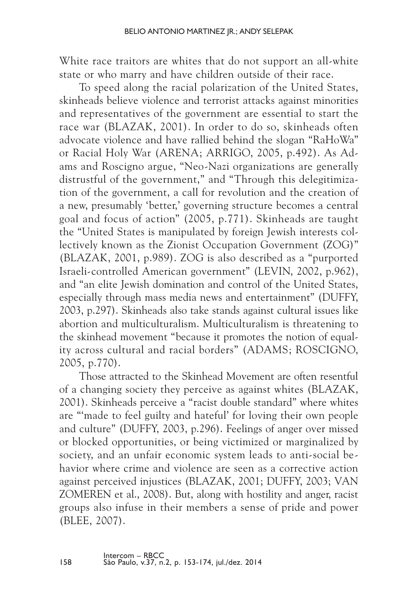White race traitors are whites that do not support an all-white state or who marry and have children outside of their race.

To speed along the racial polarization of the United States, skinheads believe violence and terrorist attacks against minorities and representatives of the government are essential to start the race war (BLAZAK, 2001). In order to do so, skinheads often advocate violence and have rallied behind the slogan "RaHoWa" or Racial Holy War (ARENA; ARRIGO, 2005, p.492). As Adams and Roscigno argue, "Neo-Nazi organizations are generally distrustful of the government," and "Through this delegitimization of the government, a call for revolution and the creation of a new, presumably 'better,' governing structure becomes a central goal and focus of action" (2005, p.771). Skinheads are taught the "United States is manipulated by foreign Jewish interests collectively known as the Zionist Occupation Government (ZOG)" (Blazak, 2001, p.989). ZOG is also described as a "purported Israeli-controlled American government" (LEVIN, 2002, p.962), and "an elite Jewish domination and control of the United States, especially through mass media news and entertainment" (Duffy, 2003, p.297). Skinheads also take stands against cultural issues like abortion and multiculturalism. Multiculturalism is threatening to the skinhead movement "because it promotes the notion of equality across cultural and racial borders" (ADAMS; ROSCIGNO, 2005, p.770).

Those attracted to the Skinhead Movement are often resentful of a changing society they perceive as against whites (BLAZAK, 2001). Skinheads perceive a "racist double standard" where whites are "'made to feel guilty and hateful' for loving their own people and culture" (Duffy, 2003, p.296). Feelings of anger over missed or blocked opportunities, or being victimized or marginalized by society, and an unfair economic system leads to anti-social behavior where crime and violence are seen as a corrective action against perceived injustices (BLAZAK, 2001; DUFFY, 2003; VAN ZOMEREN et al., 2008). But, along with hostility and anger, racist groups also infuse in their members a sense of pride and power (BLEE, 2007).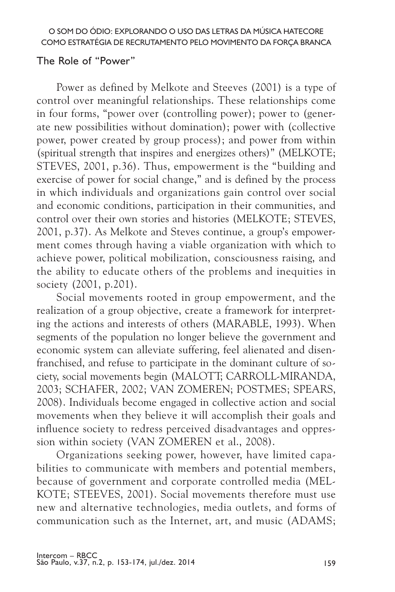## The Role of "Power"

Power as defined by Melkote and Steeves (2001) is a type of control over meaningful relationships. These relationships come in four forms, "power over (controlling power); power to (generate new possibilities without domination); power with (collective power, power created by group process); and power from within (spiritual strength that inspires and energizes others)" (MELKOTE; STEVES, 2001, p.36). Thus, empowerment is the "building and exercise of power for social change," and is defined by the process in which individuals and organizations gain control over social and economic conditions, participation in their communities, and control over their own stories and histories (MELKOTE; STEVES, 2001, p.37). As Melkote and Steves continue, a group's empowerment comes through having a viable organization with which to achieve power, political mobilization, consciousness raising, and the ability to educate others of the problems and inequities in society (2001, p.201).

Social movements rooted in group empowerment, and the realization of a group objective, create a framework for interpreting the actions and interests of others (MARABLE, 1993). When segments of the population no longer believe the government and economic system can alleviate suffering, feel alienated and disenfranchised, and refuse to participate in the dominant culture of society, social movements begin (MALOTT; CARROLL-MIRANDA, 2003; Schafer, 2002; van Zomeren; Postmes; Spears, 2008). Individuals become engaged in collective action and social movements when they believe it will accomplish their goals and influence society to redress perceived disadvantages and oppression within society (VAN ZOMEREN et al., 2008).

Organizations seeking power, however, have limited capabilities to communicate with members and potential members, because of government and corporate controlled media (Mel-KOTE: STEEVES, 2001). Social movements therefore must use new and alternative technologies, media outlets, and forms of communication such as the Internet, art, and music (ADAMS;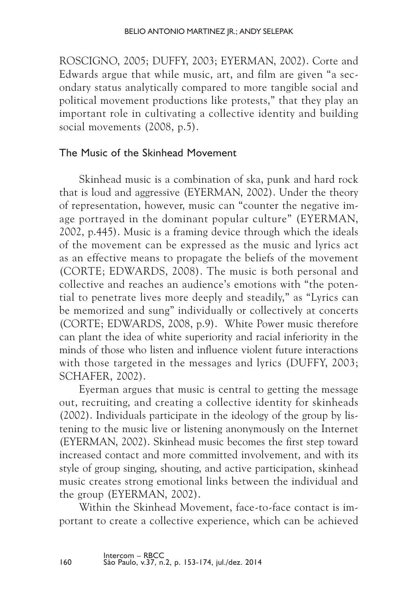Roscigno, 2005; Duffy, 2003; Eyerman, 2002). Corte and Edwards argue that while music, art, and film are given "a secondary status analytically compared to more tangible social and political movement productions like protests," that they play an important role in cultivating a collective identity and building social movements (2008, p.5).

## The Music of the Skinhead Movement

Skinhead music is a combination of ska, punk and hard rock that is loud and aggressive (EYERMAN, 2002). Under the theory of representation, however, music can "counter the negative image portrayed in the dominant popular culture" (EYERMAN, 2002, p.445). Music is a framing device through which the ideals of the movement can be expressed as the music and lyrics act as an effective means to propagate the beliefs of the movement (CORTE; EDWARDS, 2008). The music is both personal and collective and reaches an audience's emotions with "the potential to penetrate lives more deeply and steadily," as "Lyrics can be memorized and sung" individually or collectively at concerts (CORTE; EDWARDS, 2008, p.9). White Power music therefore can plant the idea of white superiority and racial inferiority in the minds of those who listen and influence violent future interactions with those targeted in the messages and lyrics (DUFFY, 2003; SCHAFER, 2002).

Eyerman argues that music is central to getting the message out, recruiting, and creating a collective identity for skinheads (2002). Individuals participate in the ideology of the group by listening to the music live or listening anonymously on the Internet (EYERMAN, 2002). Skinhead music becomes the first step toward increased contact and more committed involvement, and with its style of group singing, shouting, and active participation, skinhead music creates strong emotional links between the individual and the group (EYERMAN, 2002).

Within the Skinhead Movement, face-to-face contact is important to create a collective experience, which can be achieved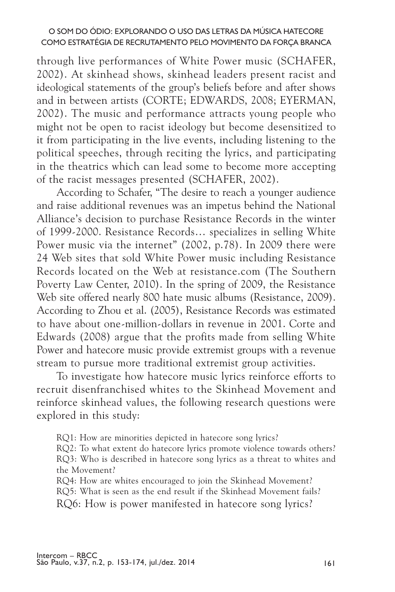through live performances of White Power music (SCHAFER, 2002). At skinhead shows, skinhead leaders present racist and ideological statements of the group's beliefs before and after shows and in between artists (CORTE; EDWARDS, 2008; EYERMAN, 2002). The music and performance attracts young people who might not be open to racist ideology but become desensitized to it from participating in the live events, including listening to the political speeches, through reciting the lyrics, and participating in the theatrics which can lead some to become more accepting of the racist messages presented (SCHAFER, 2002).

According to Schafer, "The desire to reach a younger audience and raise additional revenues was an impetus behind the National Alliance's decision to purchase Resistance Records in the winter of 1999-2000. Resistance Records… specializes in selling White Power music via the internet" (2002, p.78). In 2009 there were 24 Web sites that sold White Power music including Resistance Records located on the Web at resistance.com (The Southern Poverty Law Center, 2010). In the spring of 2009, the Resistance Web site offered nearly 800 hate music albums (Resistance, 2009). According to Zhou et al. (2005), Resistance Records was estimated to have about one-million-dollars in revenue in 2001. Corte and Edwards (2008) argue that the profits made from selling White Power and hatecore music provide extremist groups with a revenue stream to pursue more traditional extremist group activities.

To investigate how hatecore music lyrics reinforce efforts to recruit disenfranchised whites to the Skinhead Movement and reinforce skinhead values, the following research questions were explored in this study:

RQ1: How are minorities depicted in hatecore song lyrics?

RQ2: To what extent do hatecore lyrics promote violence towards others? RQ3: Who is described in hatecore song lyrics as a threat to whites and the Movement?

RQ4: How are whites encouraged to join the Skinhead Movement?

RQ5: What is seen as the end result if the Skinhead Movement fails?

RQ6: How is power manifested in hatecore song lyrics?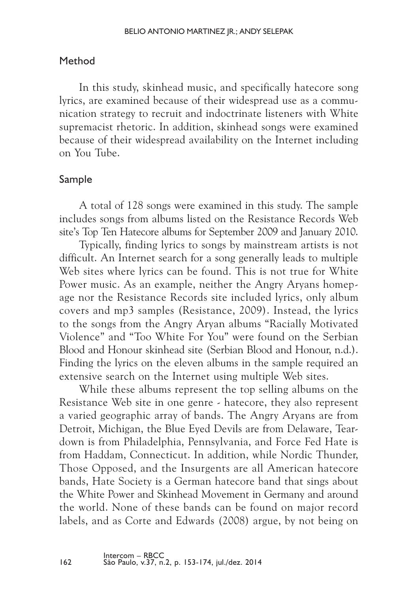# Method

In this study, skinhead music, and specifically hatecore song lyrics, are examined because of their widespread use as a communication strategy to recruit and indoctrinate listeners with White supremacist rhetoric. In addition, skinhead songs were examined because of their widespread availability on the Internet including on You Tube.

# Sample

A total of 128 songs were examined in this study. The sample includes songs from albums listed on the Resistance Records Web site's Top Ten Hatecore albums for September 2009 and January 2010.

Typically, finding lyrics to songs by mainstream artists is not difficult. An Internet search for a song generally leads to multiple Web sites where lyrics can be found. This is not true for White Power music. As an example, neither the Angry Aryans homepage nor the Resistance Records site included lyrics, only album covers and mp3 samples (Resistance, 2009). Instead, the lyrics to the songs from the Angry Aryan albums "Racially Motivated Violence" and "Too White For You" were found on the Serbian Blood and Honour skinhead site (Serbian Blood and Honour, n.d.). Finding the lyrics on the eleven albums in the sample required an extensive search on the Internet using multiple Web sites.

While these albums represent the top selling albums on the Resistance Web site in one genre - hatecore, they also represent a varied geographic array of bands. The Angry Aryans are from Detroit, Michigan, the Blue Eyed Devils are from Delaware, Teardown is from Philadelphia, Pennsylvania, and Force Fed Hate is from Haddam, Connecticut. In addition, while Nordic Thunder, Those Opposed, and the Insurgents are all American hatecore bands, Hate Society is a German hatecore band that sings about the White Power and Skinhead Movement in Germany and around the world. None of these bands can be found on major record labels, and as Corte and Edwards (2008) argue, by not being on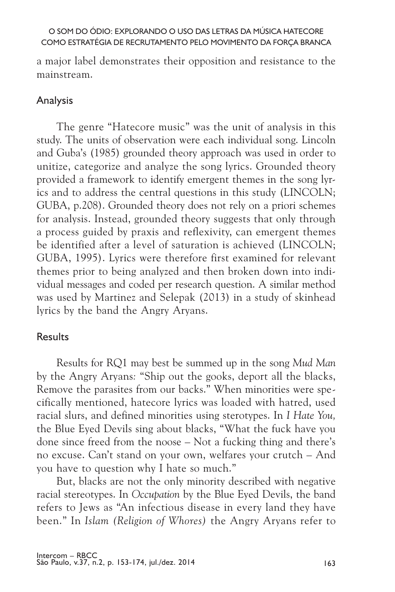a major label demonstrates their opposition and resistance to the mainstream.

## Analysis

The genre "Hatecore music" was the unit of analysis in this study. The units of observation were each individual song. Lincoln and Guba's (1985) grounded theory approach was used in order to unitize, categorize and analyze the song lyrics. Grounded theory provided a framework to identify emergent themes in the song lyrics and to address the central questions in this study (LINCOLN; Guba, p.208). Grounded theory does not rely on a priori schemes for analysis. Instead, grounded theory suggests that only through a process guided by praxis and reflexivity, can emergent themes be identified after a level of saturation is achieved (LINCOLN; GUBA, 1995). Lyrics were therefore first examined for relevant themes prior to being analyzed and then broken down into individual messages and coded per research question. A similar method was used by Martinez and Selepak (2013) in a study of skinhead lyrics by the band the Angry Aryans.

## Results

Results for RQ1 may best be summed up in the song *Mud Man*  by the Angry Aryans*:* "Ship out the gooks, deport all the blacks, Remove the parasites from our backs." When minorities were specifically mentioned, hatecore lyrics was loaded with hatred, used racial slurs, and defined minorities using sterotypes. In *I Hate You,* the Blue Eyed Devils sing about blacks, "What the fuck have you done since freed from the noose – Not a fucking thing and there's no excuse. Can't stand on your own, welfares your crutch – And you have to question why I hate so much."

But, blacks are not the only minority described with negative racial stereotypes. In *Occupation* by the Blue Eyed Devils, the band refers to Jews as "An infectious disease in every land they have been." In *Islam (Religion of Whores)* the Angry Aryans refer to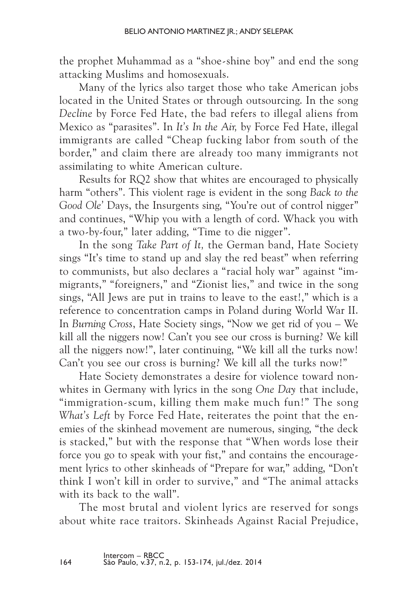the prophet Muhammad as a "shoe-shine boy" and end the song attacking Muslims and homosexuals.

Many of the lyrics also target those who take American jobs located in the United States or through outsourcing. In the song *Decline* by Force Fed Hate, the bad refers to illegal aliens from Mexico as "parasites". In *It's In the Air,* by Force Fed Hate, illegal immigrants are called "Cheap fucking labor from south of the border," and claim there are already too many immigrants not assimilating to white American culture.

Results for RQ2 show that whites are encouraged to physically harm "others". This violent rage is evident in the song *Back to the*  Good Ole' Days, the Insurgents sing, "You're out of control nigger" and continues, "Whip you with a length of cord. Whack you with a two-by-four," later adding, "Time to die nigger".

In the song *Take Part of It,* the German band, Hate Society sings "It's time to stand up and slay the red beast" when referring to communists, but also declares a "racial holy war" against "immigrants," "foreigners," and "Zionist lies," and twice in the song sings, "All Jews are put in trains to leave to the east!," which is a reference to concentration camps in Poland during World War II. In *Burning Cross*, Hate Society sings, "Now we get rid of you – We kill all the niggers now! Can't you see our cross is burning? We kill all the niggers now!", later continuing, "We kill all the turks now! Can't you see our cross is burning? We kill all the turks now!"

Hate Society demonstrates a desire for violence toward nonwhites in Germany with lyrics in the song *One Day* that include, "immigration-scum, killing them make much fun!" The song *What's Left* by Force Fed Hate, reiterates the point that the enemies of the skinhead movement are numerous, singing, "the deck is stacked," but with the response that "When words lose their force you go to speak with your fist," and contains the encouragement lyrics to other skinheads of "Prepare for war," adding, "Don't think I won't kill in order to survive," and "The animal attacks with its back to the wall".

The most brutal and violent lyrics are reserved for songs about white race traitors. Skinheads Against Racial Prejudice,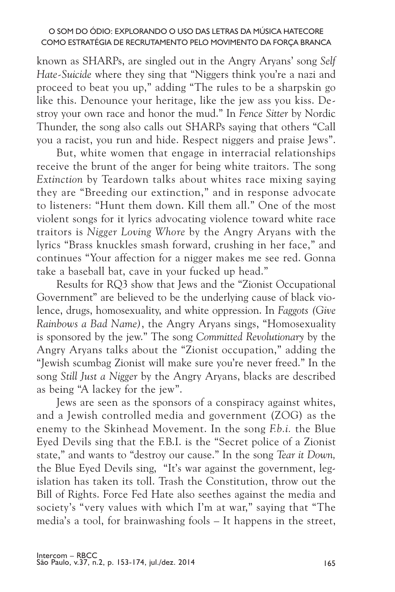known as SHARPs, are singled out in the Angry Aryans' song *Self Hate-Suicide* where they sing that "Niggers think you're a nazi and proceed to beat you up," adding "The rules to be a sharpskin go like this. Denounce your heritage, like the jew ass you kiss. Destroy your own race and honor the mud." In *Fence Sitter* by Nordic Thunder, the song also calls out SHARPs saying that others "Call you a racist, you run and hide. Respect niggers and praise Jews".

But, white women that engage in interracial relationships receive the brunt of the anger for being white traitors. The song *Extinction* by Teardown talks about whites race mixing saying they are "Breeding our extinction," and in response advocate to listeners: "Hunt them down. Kill them all." One of the most violent songs for it lyrics advocating violence toward white race traitors is *Nigger Loving Whore* by the Angry Aryans with the lyrics "Brass knuckles smash forward, crushing in her face," and continues "Your affection for a nigger makes me see red. Gonna take a baseball bat, cave in your fucked up head."

Results for RQ3 show that Jews and the "Zionist Occupational Government" are believed to be the underlying cause of black violence, drugs, homosexuality, and white oppression. In *Faggots (Give Rainbows a Bad Name)*, the Angry Aryans sings, "Homosexuality is sponsored by the jew." The song *Committed Revolutionary* by the Angry Aryans talks about the "Zionist occupation," adding the "Jewish scumbag Zionist will make sure you're never freed." In the song *Still Just a Nigger* by the Angry Aryans, blacks are described as being "A lackey for the jew".

Jews are seen as the sponsors of a conspiracy against whites, and a Jewish controlled media and government (ZOG) as the enemy to the Skinhead Movement. In the song *F.b.i.* the Blue Eyed Devils sing that the F.B.I. is the "Secret police of a Zionist state," and wants to "destroy our cause." In the song *Tear it Down,* the Blue Eyed Devils sing, "It's war against the government, legislation has taken its toll. Trash the Constitution, throw out the Bill of Rights. Force Fed Hate also seethes against the media and society's "very values with which I'm at war," saying that "The media's a tool, for brainwashing fools – It happens in the street,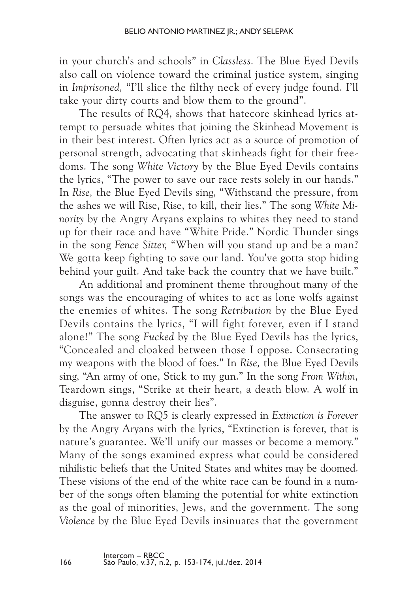in your church's and schools" in *Classless.* The Blue Eyed Devils also call on violence toward the criminal justice system, singing in *Imprisoned,* "I'll slice the filthy neck of every judge found. I'll take your dirty courts and blow them to the ground".

The results of RQ4, shows that hatecore skinhead lyrics attempt to persuade whites that joining the Skinhead Movement is in their best interest. Often lyrics act as a source of promotion of personal strength, advocating that skinheads fight for their freedoms. The song *White Victory* by the Blue Eyed Devils contains the lyrics, "The power to save our race rests solely in our hands." In *Rise,* the Blue Eyed Devils sing, "Withstand the pressure, from the ashes we will Rise, Rise, to kill, their lies." The song *White Minority* by the Angry Aryans explains to whites they need to stand up for their race and have "White Pride." Nordic Thunder sings in the song *Fence Sitter,* "When will you stand up and be a man? We gotta keep fighting to save our land. You've gotta stop hiding behind your guilt. And take back the country that we have built."

An additional and prominent theme throughout many of the songs was the encouraging of whites to act as lone wolfs against the enemies of whites. The song *Retribution* by the Blue Eyed Devils contains the lyrics, "I will fight forever, even if I stand alone!" The song *Fucked* by the Blue Eyed Devils has the lyrics, "Concealed and cloaked between those I oppose. Consecrating my weapons with the blood of foes." In *Rise,* the Blue Eyed Devils sing, "An army of one, Stick to my gun." In the song *From Within,*  Teardown sings, "Strike at their heart, a death blow. A wolf in disguise, gonna destroy their lies".

The answer to RQ5 is clearly expressed in *Extinction is Forever* by the Angry Aryans with the lyrics, "Extinction is forever, that is nature's guarantee. We'll unify our masses or become a memory." Many of the songs examined express what could be considered nihilistic beliefs that the United States and whites may be doomed. These visions of the end of the white race can be found in a number of the songs often blaming the potential for white extinction as the goal of minorities, Jews, and the government. The song *Violence* by the Blue Eyed Devils insinuates that the government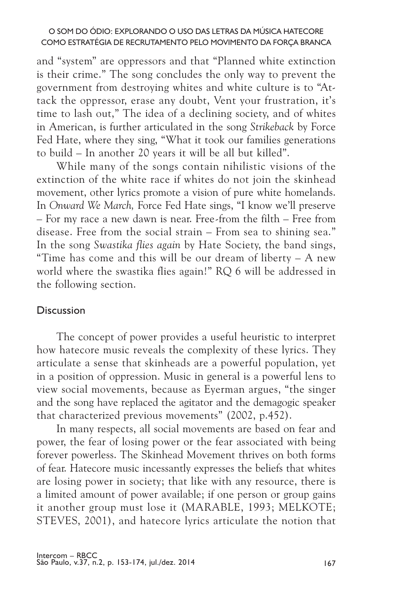and "system" are oppressors and that "Planned white extinction is their crime." The song concludes the only way to prevent the government from destroying whites and white culture is to "Attack the oppressor, erase any doubt, Vent your frustration, it's time to lash out," The idea of a declining society, and of whites in American, is further articulated in the song *Strikeback* by Force Fed Hate, where they sing, "What it took our families generations to build – In another 20 years it will be all but killed".

While many of the songs contain nihilistic visions of the extinction of the white race if whites do not join the skinhead movement, other lyrics promote a vision of pure white homelands. In *Onward We March,* Force Fed Hate sings, "I know we'll preserve – For my race a new dawn is near. Free-from the filth – Free from disease. Free from the social strain – From sea to shining sea." In the song *Swastika flies again* by Hate Society, the band sings, "Time has come and this will be our dream of liberty – A new world where the swastika flies again!" RQ 6 will be addressed in the following section.

## **Discussion**

The concept of power provides a useful heuristic to interpret how hatecore music reveals the complexity of these lyrics. They articulate a sense that skinheads are a powerful population, yet in a position of oppression. Music in general is a powerful lens to view social movements, because as Eyerman argues, "the singer and the song have replaced the agitator and the demagogic speaker that characterized previous movements" (2002, p.452).

In many respects, all social movements are based on fear and power, the fear of losing power or the fear associated with being forever powerless. The Skinhead Movement thrives on both forms of fear. Hatecore music incessantly expresses the beliefs that whites are losing power in society; that like with any resource, there is a limited amount of power available; if one person or group gains it another group must lose it (MARABLE, 1993; MELKOTE; STEVES, 2001), and hatecore lyrics articulate the notion that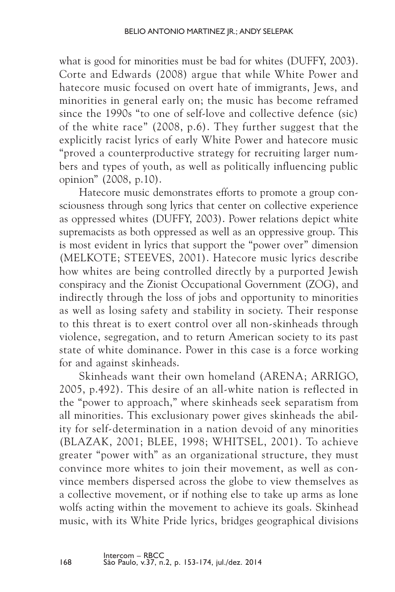what is good for minorities must be bad for whites (DUFFY, 2003). Corte and Edwards (2008) argue that while White Power and hatecore music focused on overt hate of immigrants, Jews, and minorities in general early on; the music has become reframed since the 1990s "to one of self-love and collective defence (sic) of the white race" (2008, p.6). They further suggest that the explicitly racist lyrics of early White Power and hatecore music "proved a counterproductive strategy for recruiting larger numbers and types of youth, as well as politically influencing public opinion" (2008, p.10).

Hatecore music demonstrates efforts to promote a group consciousness through song lyrics that center on collective experience as oppressed whites (Duffy, 2003). Power relations depict white supremacists as both oppressed as well as an oppressive group. This is most evident in lyrics that support the "power over" dimension (MELKOTE; STEEVES, 2001). Hatecore music lyrics describe how whites are being controlled directly by a purported Jewish conspiracy and the Zionist Occupational Government (ZOG), and indirectly through the loss of jobs and opportunity to minorities as well as losing safety and stability in society. Their response to this threat is to exert control over all non-skinheads through violence, segregation, and to return American society to its past state of white dominance. Power in this case is a force working for and against skinheads.

Skinheads want their own homeland (ARENA; ARRIGO, 2005, p.492). This desire of an all-white nation is reflected in the "power to approach," where skinheads seek separatism from all minorities. This exclusionary power gives skinheads the ability for self-determination in a nation devoid of any minorities (Blazak, 2001; Blee, 1998; Whitsel, 2001). To achieve greater "power with" as an organizational structure, they must convince more whites to join their movement, as well as convince members dispersed across the globe to view themselves as a collective movement, or if nothing else to take up arms as lone wolfs acting within the movement to achieve its goals. Skinhead music, with its White Pride lyrics, bridges geographical divisions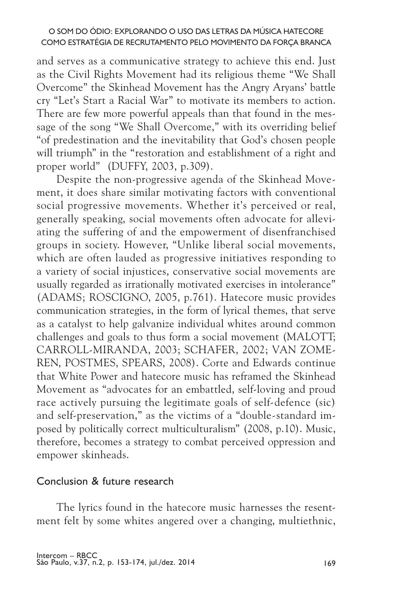and serves as a communicative strategy to achieve this end. Just as the Civil Rights Movement had its religious theme "We Shall Overcome" the Skinhead Movement has the Angry Aryans' battle cry "Let's Start a Racial War" to motivate its members to action. There are few more powerful appeals than that found in the message of the song "We Shall Overcome," with its overriding belief "of predestination and the inevitability that God's chosen people will triumph" in the "restoration and establishment of a right and proper world" (Duffy, 2003, p.309).

Despite the non-progressive agenda of the Skinhead Movement, it does share similar motivating factors with conventional social progressive movements. Whether it's perceived or real, generally speaking, social movements often advocate for alleviating the suffering of and the empowerment of disenfranchised groups in society. However, "Unlike liberal social movements, which are often lauded as progressive initiatives responding to a variety of social injustices, conservative social movements are usually regarded as irrationally motivated exercises in intolerance" (Adams; Roscigno, 2005, p.761). Hatecore music provides communication strategies, in the form of lyrical themes, that serve as a catalyst to help galvanize individual whites around common challenges and goals to thus form a social movement (MALOTT; Carroll-Miranda, 2003; Schafer, 2002; van Zomeren, Postmes, Spears, 2008). Corte and Edwards continue that White Power and hatecore music has reframed the Skinhead Movement as "advocates for an embattled, self-loving and proud race actively pursuing the legitimate goals of self-defence (sic) and self-preservation," as the victims of a "double-standard imposed by politically correct multiculturalism" (2008, p.10). Music, therefore, becomes a strategy to combat perceived oppression and empower skinheads.

## Conclusion & future research

The lyrics found in the hatecore music harnesses the resentment felt by some whites angered over a changing, multiethnic,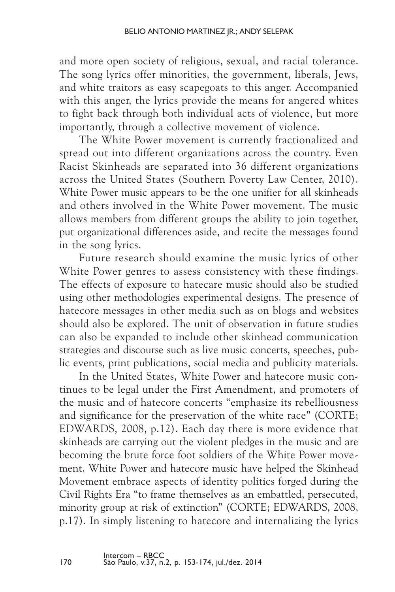and more open society of religious, sexual, and racial tolerance. The song lyrics offer minorities, the government, liberals, Jews, and white traitors as easy scapegoats to this anger. Accompanied with this anger, the lyrics provide the means for angered whites to fight back through both individual acts of violence, but more importantly, through a collective movement of violence.

The White Power movement is currently fractionalized and spread out into different organizations across the country. Even Racist Skinheads are separated into 36 different organizations across the United States (Southern Poverty Law Center, 2010). White Power music appears to be the one unifier for all skinheads and others involved in the White Power movement. The music allows members from different groups the ability to join together, put organizational differences aside, and recite the messages found in the song lyrics.

Future research should examine the music lyrics of other White Power genres to assess consistency with these findings. The effects of exposure to hatecare music should also be studied using other methodologies experimental designs. The presence of hatecore messages in other media such as on blogs and websites should also be explored. The unit of observation in future studies can also be expanded to include other skinhead communication strategies and discourse such as live music concerts, speeches, public events, print publications, social media and publicity materials.

In the United States, White Power and hatecore music continues to be legal under the First Amendment, and promoters of the music and of hatecore concerts "emphasize its rebelliousness and significance for the preservation of the white race" (CORTE; EDWARDS, 2008, p.12). Each day there is more evidence that skinheads are carrying out the violent pledges in the music and are becoming the brute force foot soldiers of the White Power movement. White Power and hatecore music have helped the Skinhead Movement embrace aspects of identity politics forged during the Civil Rights Era "to frame themselves as an embattled, persecuted, minority group at risk of extinction" (CORTE: EDWARDS, 2008, p.17). In simply listening to hatecore and internalizing the lyrics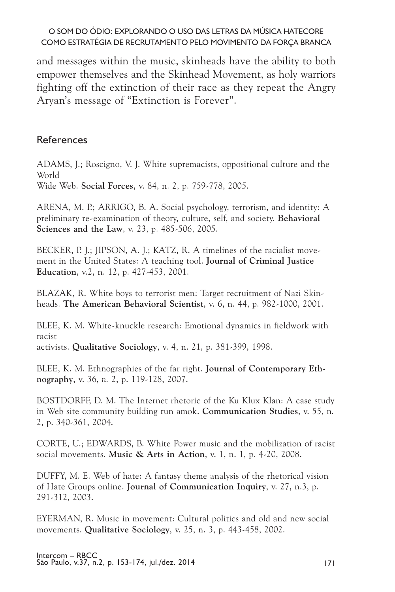and messages within the music, skinheads have the ability to both empower themselves and the Skinhead Movement, as holy warriors fighting off the extinction of their race as they repeat the Angry Aryan's message of "Extinction is Forever".

## References

ADAMS, J.; Roscigno, V. J. White supremacists, oppositional culture and the World Wide Web. **Social Forces**, v. 84, n. 2, p. 759-778, 2005.

ARENA, M. P.; ARRIGO, B. A. Social psychology, terrorism, and identity: A preliminary re-examination of theory, culture, self, and society. **Behavioral Sciences and the Law**, v. 23, p. 485-506, 2005.

BECKER, P. J.; JIPSON, A. J.; KATZ, R. A timelines of the racialist movement in the United States: A teaching tool. **Journal of Criminal Justice Education**, v.2, n. 12, p. 427-453, 2001.

BLAZAK, R. White boys to terrorist men: Target recruitment of Nazi Skinheads. **The American Behavioral Scientist**, v. 6, n. 44, p. 982-1000, 2001.

BLEE, K. M. White-knuckle research: Emotional dynamics in fieldwork with racist activists. **Qualitative Sociology**, v. 4, n. 21, p. 381-399, 1998.

BLEE, K. M. Ethnographies of the far right. **Journal of Contemporary Ethnography**, v. 36, *n.* 2, p. 119-128, 2007.

BOSTDORFF, D. M. The Internet rhetoric of the Ku Klux Klan: A case study in Web site community building run amok. **Communication Studies**, v. 55, n*.*  2, p. 340-361, 2004.

CORTE, U.; EDWARDS, B. White Power music and the mobilization of racist social movements. **Music & Arts in Action**, v. 1, n. 1, p. 4-20, 2008.

DUFFY, M. E. Web of hate: A fantasy theme analysis of the rhetorical vision of Hate Groups online. **Journal of Communication Inquiry**, v. 27, n.3, p. 291-312, 2003.

EYERMAN, R. Music in movement: Cultural politics and old and new social movements. **Qualitative Sociology**, v. 25, n. 3, p. 443-458, 2002.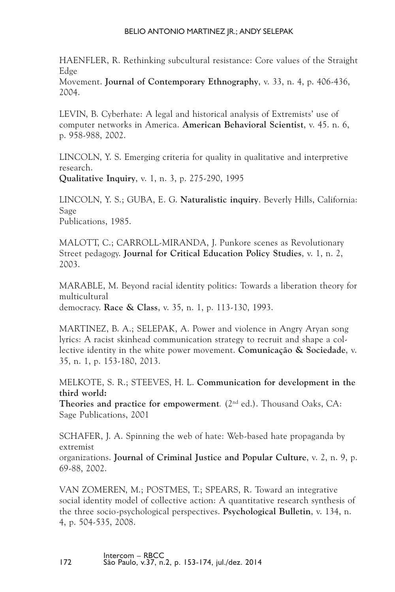#### BELIO ANTONIO MARTINEZ IR.: ANDY SELEPAK

HAENFLER, R. Rethinking subcultural resistance: Core values of the Straight Edge

Movement. **Journal of Contemporary Ethnography**, v. 33, n. 4, p. 406-436, 2004.

LEVIN, B. Cyberhate: A legal and historical analysis of Extremists' use of computer networks in America. **American Behavioral Scientist**, v. 45. n. 6, p. 958-988, 2002.

LINCOLN, Y. S. Emerging criteria for quality in qualitative and interpretive research.

**Qualitative Inquiry**, v. 1, n. 3, p. 275-290, 1995

LINCOLN, Y. S.; GUBA, E. G. **Naturalistic inquiry**. Beverly Hills, California: Sage Publications, 1985.

MALOTT, C.; CARROLL-MIRANDA, J. Punkore scenes as Revolutionary Street pedagogy. **Journal for Critical Education Policy Studies**, v. 1, n. 2, 2003.

MARABLE, M. Beyond racial identity politics: Towards a liberation theory for multicultural democracy. **Race & Class**, v. 35, n. 1, p. 113-130, 1993.

MARTINEZ, B. A.; SELEPAK, A. Power and violence in Angry Aryan song lyrics: A racist skinhead communication strategy to recruit and shape a collective identity in the white power movement. **Comunicação & Sociedade**, v. 35, n. 1, p. 153-180, 2013.

MELKOTE, S. R.; STEEVES, H. L. **Communication for development in the third world:** 

Theories and practice for empowerment. (2<sup>nd</sup> ed.). Thousand Oaks, CA: Sage Publications, 2001

SCHAFER, J. A. Spinning the web of hate: Web-based hate propaganda by extremist

organizations. **Journal of Criminal Justice and Popular Culture**, v. 2, n. 9, p. 69-88, 2002.

VAN ZOMEREN, M.; POSTMES, T.; SPEARS, R. Toward an integrative social identity model of collective action: A quantitative research synthesis of the three socio-psychological perspectives. **Psychological Bulletin**, v. 134, n. 4, p. 504-535, 2008.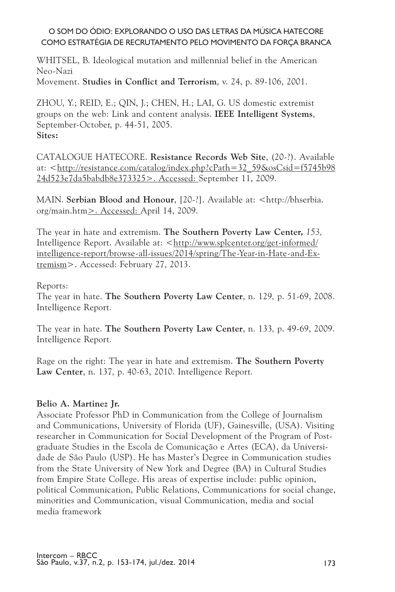WHITSEL, B. Ideological mutation and millennial belief in the American Neo-Nazi

Movement. **Studies in Conflict and Terrorism**, v. 24, p. 89-106, 2001.

ZHOU, Y.; REID, E.; QIN, J.; CHEN, H.; LAI, G. US domestic extremist groups on the web: Link and content analysis. **IEEE Intelligent Systems**, September-October, p. 44-51, 2005. **Sites:**

CATALOGUE HATECORE. **Resistance Records Web Site**, (20-?). Available at: <http://resistance.com/catalog/index.php?cPath=32\_59&osCsid=f5745b98 24d523e7da5babdb8e373325>. Accessed: September 11, 2009.

MAIN. **Serbian Blood and Honour**, [20-?]. Available at: <http://bhserbia. org/main.htm>. Accessed: April 14, 2009.

The year in hate and extremism. **The Southern Poverty Law Center,** *153,*  Intelligence Report. Available at: <http://www.splcenter.org/get-informed/ intelligence-report/browse-all-issues/2014/spring/The-Year-in-Hate-and-Extremism>. Accessed: February 27, 2013.

#### Reports:

The year in hate. **The Southern Poverty Law Center**, n. 129*,* p. 51-69, 2008. Intelligence Report*.*

The year in hate. **The Southern Poverty Law Center**, n. 133*,* p. 49-69, 2009. Intelligence Report*.*

Rage on the right: The year in hate and extremism. **The Southern Poverty Law Center**, n. 137*,* p. 40-63, 2010. Intelligence Report*.*

#### **Belio A. Martinez Jr.**

Associate Professor PhD in Communication from the College of Journalism and Communications, University of Florida (UF), Gainesville, (USA). Visiting researcher in Communication for Social Development of the Program of Postgraduate Studies in the Escola de Comunicação e Artes (ECA), da Universidade de São Paulo (USP). He has Master's Degree in Communication studies from the State University of New York and Degree (BA) in Cultural Studies from Empire State College. His areas of expertise include: public opinion, political Communication, Public Relations, Communications for social change, minorities and Communication, visual Communication, media and social media framework